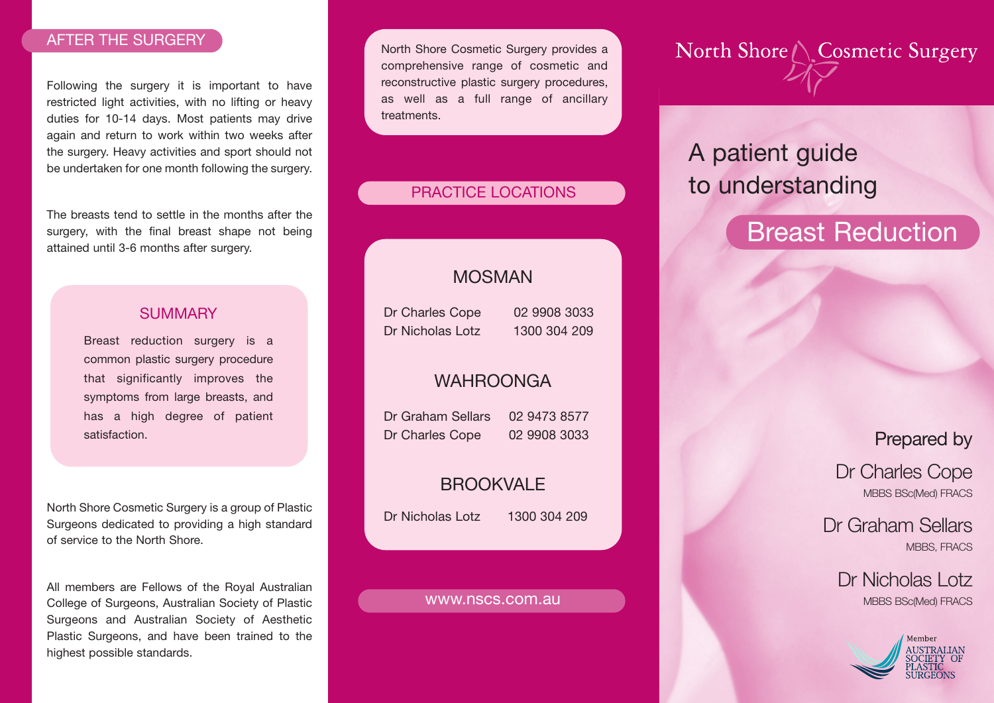### AFTER THE SURGERY

Following the surgery it is important to have restricted light activities, with no lifting or heavy duties for 10-14 days. Most patients may drive again and return to work within two weeks after the surgery. Heavy activities and sport should not be undertaken for one month following the surgery.

The breasts tend to settle in the months after the surgery, with the final breast shape not being attained until 3-6 months after surgery.

### **SUMMARY**

Breast reduction surgery is a common plastic surgery procedure that significantly improves the symptoms from large breasts, and has a high degree of patient satisfaction.

North Shore Cosmetic Surgery is a group of Plastic Surgeons dedicated to providing a high standard of service to the North Shore.

All members are Fellows of the Royal Australian College of Surgeons, Australian Society of Plastic Surgeons and Australian Society of Aesthetic Plastic Surgeons, and have been trained to the highest possible standards.

North Shore Cosmetic Surgery provides a comprehensive range of cosmetic and reconstructive plastic surgery procedures, as well as a full range of ancillary treatments.

### PRACTICE LOCATIONS

## MOSMAN

Dr Charles Cope 02 9908 3033 Dr Nicholas Lotz 1300 304 209

### WAHROONGA

Dr Graham Sellars 02 9473 8577 Dr Charles Cope 02 9908 3033

## **BROOKVALE**

Dr Nicholas Lotz 1300 304 209

#### www.nscs.com.au

North Shore / Cosmetic Surgery

# A patient guide to understanding

# Breast Reduction

# Prepared by

Dr Charles Cope MBBS BSc(Med) FRACS

Dr Graham Sellars MBBS, FRACS

Dr Nicholas Lotz MBBS BSc(Med) FRACS